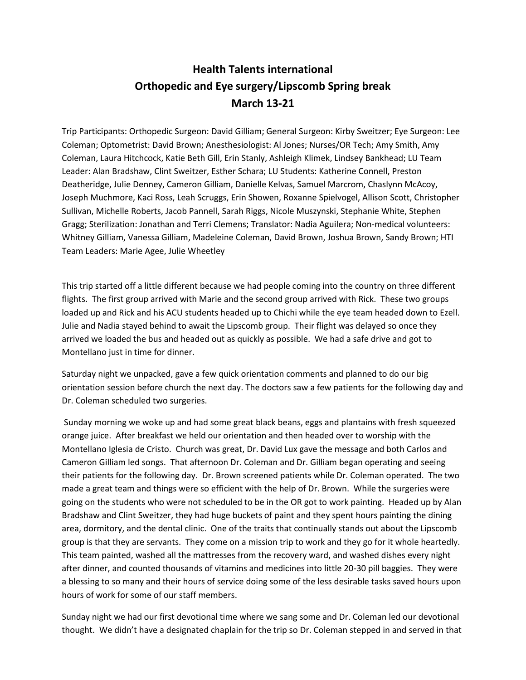## **Health Talents international Orthopedic and Eye surgery/Lipscomb Spring break March 13-21**

Trip Participants: Orthopedic Surgeon: David Gilliam; General Surgeon: Kirby Sweitzer; Eye Surgeon: Lee Coleman; Optometrist: David Brown; Anesthesiologist: Al Jones; Nurses/OR Tech; Amy Smith, Amy Coleman, Laura Hitchcock, Katie Beth Gill, Erin Stanly, Ashleigh Klimek, Lindsey Bankhead; LU Team Leader: Alan Bradshaw, Clint Sweitzer, Esther Schara; LU Students: Katherine Connell, Preston Deatheridge, Julie Denney, Cameron Gilliam, Danielle Kelvas, Samuel Marcrom, Chaslynn McAcoy, Joseph Muchmore, Kaci Ross, Leah Scruggs, Erin Showen, Roxanne Spielvogel, Allison Scott, Christopher Sullivan, Michelle Roberts, Jacob Pannell, Sarah Riggs, Nicole Muszynski, Stephanie White, Stephen Gragg; Sterilization: Jonathan and Terri Clemens; Translator: Nadia Aguilera; Non-medical volunteers: Whitney Gilliam, Vanessa Gilliam, Madeleine Coleman, David Brown, Joshua Brown, Sandy Brown; HTI Team Leaders: Marie Agee, Julie Wheetley

This trip started off a little different because we had people coming into the country on three different flights. The first group arrived with Marie and the second group arrived with Rick. These two groups loaded up and Rick and his ACU students headed up to Chichi while the eye team headed down to Ezell. Julie and Nadia stayed behind to await the Lipscomb group. Their flight was delayed so once they arrived we loaded the bus and headed out as quickly as possible. We had a safe drive and got to Montellano just in time for dinner.

Saturday night we unpacked, gave a few quick orientation comments and planned to do our big orientation session before church the next day. The doctors saw a few patients for the following day and Dr. Coleman scheduled two surgeries.

Sunday morning we woke up and had some great black beans, eggs and plantains with fresh squeezed orange juice. After breakfast we held our orientation and then headed over to worship with the Montellano Iglesia de Cristo. Church was great, Dr. David Lux gave the message and both Carlos and Cameron Gilliam led songs. That afternoon Dr. Coleman and Dr. Gilliam began operating and seeing their patients for the following day. Dr. Brown screened patients while Dr. Coleman operated. The two made a great team and things were so efficient with the help of Dr. Brown. While the surgeries were going on the students who were not scheduled to be in the OR got to work painting. Headed up by Alan Bradshaw and Clint Sweitzer, they had huge buckets of paint and they spent hours painting the dining area, dormitory, and the dental clinic. One of the traits that continually stands out about the Lipscomb group is that they are servants. They come on a mission trip to work and they go for it whole heartedly. This team painted, washed all the mattresses from the recovery ward, and washed dishes every night after dinner, and counted thousands of vitamins and medicines into little 20-30 pill baggies. They were a blessing to so many and their hours of service doing some of the less desirable tasks saved hours upon hours of work for some of our staff members.

Sunday night we had our first devotional time where we sang some and Dr. Coleman led our devotional thought. We didn't have a designated chaplain for the trip so Dr. Coleman stepped in and served in that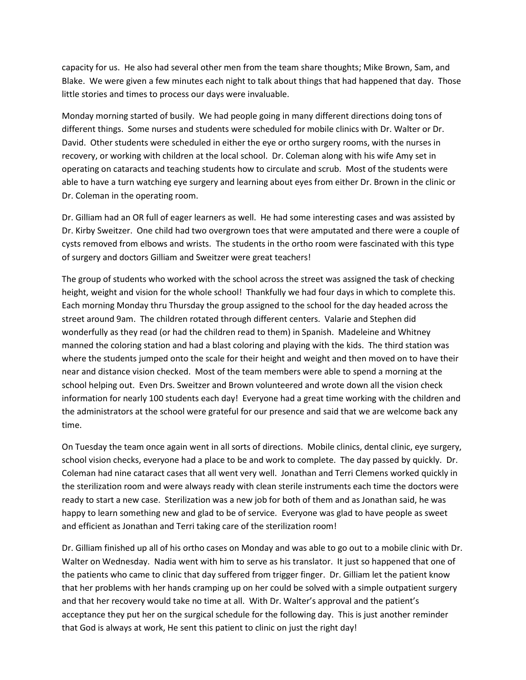capacity for us. He also had several other men from the team share thoughts; Mike Brown, Sam, and Blake. We were given a few minutes each night to talk about things that had happened that day. Those little stories and times to process our days were invaluable.

Monday morning started of busily. We had people going in many different directions doing tons of different things. Some nurses and students were scheduled for mobile clinics with Dr. Walter or Dr. David. Other students were scheduled in either the eye or ortho surgery rooms, with the nurses in recovery, or working with children at the local school. Dr. Coleman along with his wife Amy set in operating on cataracts and teaching students how to circulate and scrub. Most of the students were able to have a turn watching eye surgery and learning about eyes from either Dr. Brown in the clinic or Dr. Coleman in the operating room.

Dr. Gilliam had an OR full of eager learners as well. He had some interesting cases and was assisted by Dr. Kirby Sweitzer. One child had two overgrown toes that were amputated and there were a couple of cysts removed from elbows and wrists. The students in the ortho room were fascinated with this type of surgery and doctors Gilliam and Sweitzer were great teachers!

The group of students who worked with the school across the street was assigned the task of checking height, weight and vision for the whole school! Thankfully we had four days in which to complete this. Each morning Monday thru Thursday the group assigned to the school for the day headed across the street around 9am. The children rotated through different centers. Valarie and Stephen did wonderfully as they read (or had the children read to them) in Spanish. Madeleine and Whitney manned the coloring station and had a blast coloring and playing with the kids. The third station was where the students jumped onto the scale for their height and weight and then moved on to have their near and distance vision checked. Most of the team members were able to spend a morning at the school helping out. Even Drs. Sweitzer and Brown volunteered and wrote down all the vision check information for nearly 100 students each day! Everyone had a great time working with the children and the administrators at the school were grateful for our presence and said that we are welcome back any time.

On Tuesday the team once again went in all sorts of directions. Mobile clinics, dental clinic, eye surgery, school vision checks, everyone had a place to be and work to complete. The day passed by quickly. Dr. Coleman had nine cataract cases that all went very well. Jonathan and Terri Clemens worked quickly in the sterilization room and were always ready with clean sterile instruments each time the doctors were ready to start a new case. Sterilization was a new job for both of them and as Jonathan said, he was happy to learn something new and glad to be of service. Everyone was glad to have people as sweet and efficient as Jonathan and Terri taking care of the sterilization room!

Dr. Gilliam finished up all of his ortho cases on Monday and was able to go out to a mobile clinic with Dr. Walter on Wednesday. Nadia went with him to serve as his translator. It just so happened that one of the patients who came to clinic that day suffered from trigger finger. Dr. Gilliam let the patient know that her problems with her hands cramping up on her could be solved with a simple outpatient surgery and that her recovery would take no time at all. With Dr. Walter's approval and the patient's acceptance they put her on the surgical schedule for the following day. This is just another reminder that God is always at work, He sent this patient to clinic on just the right day!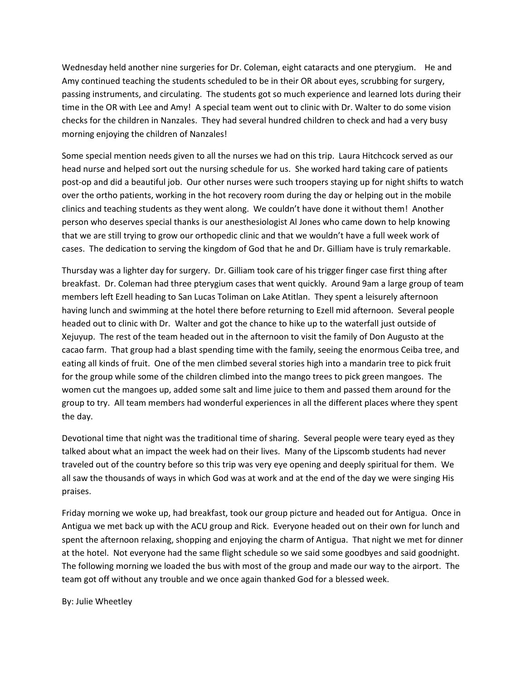Wednesday held another nine surgeries for Dr. Coleman, eight cataracts and one pterygium. He and Amy continued teaching the students scheduled to be in their OR about eyes, scrubbing for surgery, passing instruments, and circulating. The students got so much experience and learned lots during their time in the OR with Lee and Amy! A special team went out to clinic with Dr. Walter to do some vision checks for the children in Nanzales. They had several hundred children to check and had a very busy morning enjoying the children of Nanzales!

Some special mention needs given to all the nurses we had on this trip. Laura Hitchcock served as our head nurse and helped sort out the nursing schedule for us. She worked hard taking care of patients post-op and did a beautiful job. Our other nurses were such troopers staying up for night shifts to watch over the ortho patients, working in the hot recovery room during the day or helping out in the mobile clinics and teaching students as they went along. We couldn't have done it without them! Another person who deserves special thanks is our anesthesiologist Al Jones who came down to help knowing that we are still trying to grow our orthopedic clinic and that we wouldn't have a full week work of cases. The dedication to serving the kingdom of God that he and Dr. Gilliam have is truly remarkable.

Thursday was a lighter day for surgery. Dr. Gilliam took care of his trigger finger case first thing after breakfast. Dr. Coleman had three pterygium cases that went quickly. Around 9am a large group of team members left Ezell heading to San Lucas Toliman on Lake Atitlan. They spent a leisurely afternoon having lunch and swimming at the hotel there before returning to Ezell mid afternoon. Several people headed out to clinic with Dr. Walter and got the chance to hike up to the waterfall just outside of Xejuyup. The rest of the team headed out in the afternoon to visit the family of Don Augusto at the cacao farm. That group had a blast spending time with the family, seeing the enormous Ceiba tree, and eating all kinds of fruit. One of the men climbed several stories high into a mandarin tree to pick fruit for the group while some of the children climbed into the mango trees to pick green mangoes. The women cut the mangoes up, added some salt and lime juice to them and passed them around for the group to try. All team members had wonderful experiences in all the different places where they spent the day.

Devotional time that night was the traditional time of sharing. Several people were teary eyed as they talked about what an impact the week had on their lives. Many of the Lipscomb students had never traveled out of the country before so this trip was very eye opening and deeply spiritual for them. We all saw the thousands of ways in which God was at work and at the end of the day we were singing His praises.

Friday morning we woke up, had breakfast, took our group picture and headed out for Antigua. Once in Antigua we met back up with the ACU group and Rick. Everyone headed out on their own for lunch and spent the afternoon relaxing, shopping and enjoying the charm of Antigua. That night we met for dinner at the hotel. Not everyone had the same flight schedule so we said some goodbyes and said goodnight. The following morning we loaded the bus with most of the group and made our way to the airport. The team got off without any trouble and we once again thanked God for a blessed week.

By: Julie Wheetley